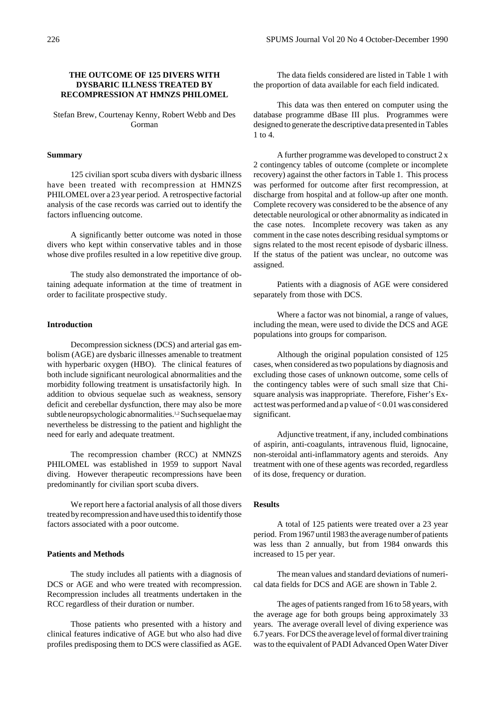### **THE OUTCOME OF 125 DIVERS WITH DYSBARIC ILLNESS TREATED BY RECOMPRESSION AT HMNZS PHILOMEL**

Stefan Brew, Courtenay Kenny, Robert Webb and Des Gorman

### **Summary**

125 civilian sport scuba divers with dysbaric illness have been treated with recompression at HMNZS PHILOMEL over a 23 year period. A retrospective factorial analysis of the case records was carried out to identify the factors influencing outcome.

A significantly better outcome was noted in those divers who kept within conservative tables and in those whose dive profiles resulted in a low repetitive dive group.

The study also demonstrated the importance of obtaining adequate information at the time of treatment in order to facilitate prospective study.

#### **Introduction**

Decompression sickness (DCS) and arterial gas embolism (AGE) are dysbaric illnesses amenable to treatment with hyperbaric oxygen (HBO). The clinical features of both include significant neurological abnormalities and the morbidity following treatment is unsatisfactorily high. In addition to obvious sequelae such as weakness, sensory deficit and cerebellar dysfunction, there may also be more subtle neuropsychologic abnormalities.1,2 Such sequelae may nevertheless be distressing to the patient and highlight the need for early and adequate treatment.

The recompression chamber (RCC) at NMNZS PHILOMEL was established in 1959 to support Naval diving. However therapeutic recompressions have been predominantly for civilian sport scuba divers.

We report here a factorial analysis of all those divers treated by recompression and have used this to identify those factors associated with a poor outcome.

### **Patients and Methods**

The study includes all patients with a diagnosis of DCS or AGE and who were treated with recompression. Recompression includes all treatments undertaken in the RCC regardless of their duration or number.

Those patients who presented with a history and clinical features indicative of AGE but who also had dive profiles predisposing them to DCS were classified as AGE.

The data fields considered are listed in Table 1 with the proportion of data available for each field indicated.

This data was then entered on computer using the database programme dBase III plus. Programmes were designed to generate the descriptive data presented in Tables 1 to 4.

A further programme was developed to construct 2 x 2 contingency tables of outcome (complete or incomplete recovery) against the other factors in Table 1. This process was performed for outcome after first recompression, at discharge from hospital and at follow-up after one month. Complete recovery was considered to be the absence of any detectable neurological or other abnormality as indicated in the case notes. Incomplete recovery was taken as any comment in the case notes describing residual symptoms or signs related to the most recent episode of dysbaric illness. If the status of the patient was unclear, no outcome was assigned.

Patients with a diagnosis of AGE were considered separately from those with DCS.

Where a factor was not binomial, a range of values, including the mean, were used to divide the DCS and AGE populations into groups for comparison.

Although the original population consisted of 125 cases, when considered as two populations by diagnosis and excluding those cases of unknown outcome, some cells of the contingency tables were of such small size that Chisquare analysis was inappropriate. Therefore, Fisher's Exact test was performed and a p value of < 0.01 was considered significant.

Adjunctive treatment, if any, included combinations of aspirin, anti-coagulants, intravenous fluid, lignocaine, non-steroidal anti-inflammatory agents and steroids. Any treatment with one of these agents was recorded, regardless of its dose, frequency or duration.

#### **Results**

A total of 125 patients were treated over a 23 year period. From 1967 until 1983 the average number of patients was less than 2 annually, but from 1984 onwards this increased to 15 per year.

The mean values and standard deviations of numerical data fields for DCS and AGE are shown in Table 2.

The ages of patients ranged from 16 to 58 years, with the average age for both groups being approximately 33 years. The average overall level of diving experience was 6.7 years. For DCS the average level of formal diver training was to the equivalent of PADI Advanced Open Water Diver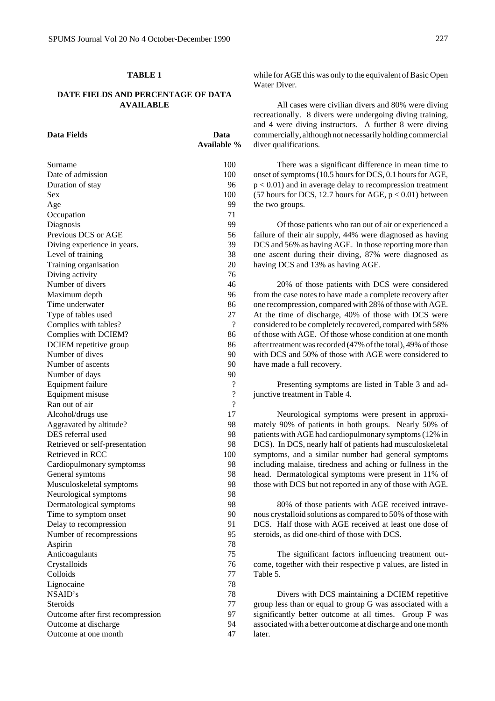### **TABLE 1**

# **DATE FIELDS AND PERCENTAGE OF DATA AVAILABLE**

| Data Fields                                               | Data<br>Available %      |
|-----------------------------------------------------------|--------------------------|
| Surname                                                   | 100                      |
| Date of admission                                         | 100                      |
| Duration of stay                                          | 96                       |
| Sex                                                       | 100                      |
| Age                                                       | 99                       |
| Occupation                                                | 71                       |
| Diagnosis                                                 | 99                       |
| Previous DCS or AGE                                       | 56                       |
| Diving experience in years.                               | 39                       |
| Level of training                                         | 38                       |
| Training organisation                                     | 20                       |
| Diving activity                                           | 76                       |
| Number of divers                                          | 46                       |
| Maximum depth                                             | 96                       |
| Time underwater                                           | 86                       |
| Type of tables used                                       | 27                       |
| Complies with tables?                                     | ?                        |
| Complies with DCIEM?                                      | 86                       |
| DCIEM repetitive group                                    | 86                       |
| Number of dives                                           | 90                       |
| Number of ascents                                         | 90                       |
| Number of days                                            | 90                       |
| Equipment failure                                         | $\overline{\cdot}$       |
| Equipment misuse                                          | $\overline{\mathcal{L}}$ |
| Ran out of air                                            | ?                        |
| Alcohol/drugs use                                         | 17                       |
| Aggravated by altitude?                                   | 98                       |
| DES referral used                                         | 98                       |
| Retrieved or self-presentation                            | 98                       |
| Retrieved in RCC                                          | 100                      |
| Cardiopulmonary symptomss                                 | 98                       |
| General symtoms                                           | 98                       |
| Musculoskeletal symptoms                                  | 98                       |
| Neurological symptoms                                     | 98                       |
| Dermatological symptoms                                   | 98                       |
| Time to symptom onset                                     | 90                       |
| Delay to recompression                                    | 91                       |
| Number of recompressions                                  | 95                       |
| Aspirin                                                   | 78                       |
| Anticoagulants                                            | 75                       |
| Crystalloids<br>Colloids                                  | 76<br>77                 |
|                                                           |                          |
| Lignocaine<br>NSAID's                                     | 78                       |
| Steroids                                                  | 78<br>77                 |
|                                                           | 97                       |
| Outcome after first recompression<br>Outcome at discharge | 94                       |
| Outcome at one month                                      | 47                       |
|                                                           |                          |

while for AGE this was only to the equivalent of Basic Open Water Diver.

All cases were civilian divers and 80% were diving recreationally. 8 divers were undergoing diving training, and 4 were diving instructors. A further 8 were diving commercially, although not necessarily holding commercial diver qualifications.

There was a significant difference in mean time to onset of symptoms (10.5 hours for DCS, 0.1 hours for AGE,  $p < 0.01$ ) and in average delay to recompression treatment (57 hours for DCS, 12.7 hours for AGE,  $p < 0.01$ ) between the two groups.

Of those patients who ran out of air or experienced a failure of their air supply, 44% were diagnosed as having DCS and 56% as having AGE. In those reporting more than one ascent during their diving, 87% were diagnosed as having DCS and 13% as having AGE.

20% of those patients with DCS were considered from the case notes to have made a complete recovery after one recompression, compared with 28% of those with AGE. At the time of discharge, 40% of those with DCS were considered to be completely recovered, compared with 58% of those with AGE. Of those whose condition at one month after treatment was recorded (47% of the total), 49% of those with DCS and 50% of those with AGE were considered to have made a full recovery.

Presenting symptoms are listed in Table 3 and adjunctive treatment in Table 4.

Neurological symptoms were present in approximately 90% of patients in both groups. Nearly 50% of patients with AGE had cardiopulmonary symptoms (12% in DCS). In DCS, nearly half of patients had musculoskeletal symptoms, and a similar number had general symptoms including malaise, tiredness and aching or fullness in the head. Dermatological symptoms were present in 11% of those with DCS but not reported in any of those with AGE.

80% of those patients with AGE received intravenous crystalloid solutions as compared to 50% of those with DCS. Half those with AGE received at least one dose of steroids, as did one-third of those with DCS.

The significant factors influencing treatment outcome, together with their respective p values, are listed in Table 5.

Divers with DCS maintaining a DCIEM repetitive group less than or equal to group G was associated with a significantly better outcome at all times. Group F was associated with a better outcome at discharge and one month later.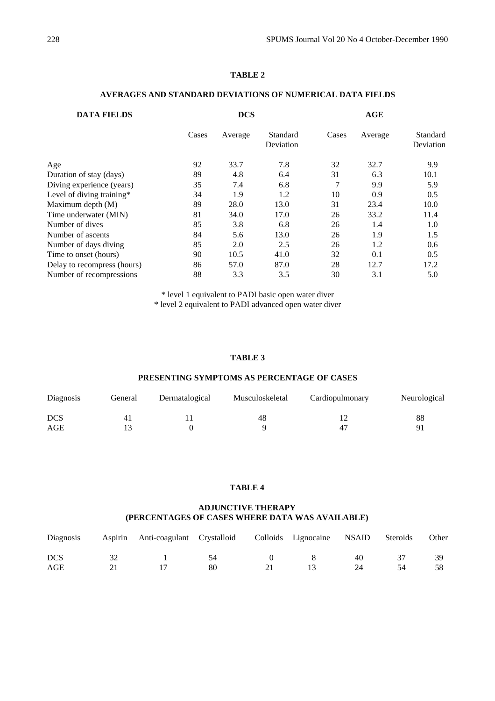# **TABLE 2**

| <b>DATA FIELDS</b>          | <b>DCS</b> |         |                       | AGE   |         |                       |
|-----------------------------|------------|---------|-----------------------|-------|---------|-----------------------|
|                             | Cases      | Average | Standard<br>Deviation | Cases | Average | Standard<br>Deviation |
| Age                         | 92         | 33.7    | 7.8                   | 32    | 32.7    | 9.9                   |
| Duration of stay (days)     | 89         | 4.8     | 6.4                   | 31    | 6.3     | 10.1                  |
| Diving experience (years)   | 35         | 7.4     | 6.8                   | 7     | 9.9     | 5.9                   |
| Level of diving training*   | 34         | 1.9     | 1.2                   | 10    | 0.9     | 0.5                   |
| Maximum depth (M)           | 89         | 28.0    | 13.0                  | 31    | 23.4    | 10.0                  |
| Time underwater (MIN)       | 81         | 34.0    | 17.0                  | 26    | 33.2    | 11.4                  |
| Number of dives             | 85         | 3.8     | 6.8                   | 26    | 1.4     | 1.0                   |
| Number of ascents           | 84         | 5.6     | 13.0                  | 26    | 1.9     | 1.5                   |
| Number of days diving       | 85         | 2.0     | 2.5                   | 26    | 1.2     | 0.6                   |
| Time to onset (hours)       | 90         | 10.5    | 41.0                  | 32    | 0.1     | 0.5                   |
| Delay to recompress (hours) | 86         | 57.0    | 87.0                  | 28    | 12.7    | 17.2                  |
| Number of recompressions    | 88         | 3.3     | 3.5                   | 30    | 3.1     | 5.0                   |

### **AVERAGES AND STANDARD DEVIATIONS OF NUMERICAL DATA FIELDS**

\* level 1 equivalent to PADI basic open water diver \* level 2 equivalent to PADI advanced open water diver

### **TABLE 3**

# **PRESENTING SYMPTOMS AS PERCENTAGE OF CASES**

| Diagnosis  | General | Dermatalogical | Musculoskeletal | Cardiopulmonary | Neurological |
|------------|---------|----------------|-----------------|-----------------|--------------|
| <b>DCS</b> |         |                | 48              |                 | 88           |
| AGE        |         |                |                 | $\Lambda$       | Q            |

# **TABLE 4**

# **ADJUNCTIVE THERAPY (PERCENTAGES OF CASES WHERE DATA WAS AVAILABLE)**

|            |              | Diagnosis Aspirin Anti-coagulant Crystalloid Colloids Lignocaine NSAID Steroids |    |    |              |    | Other |
|------------|--------------|---------------------------------------------------------------------------------|----|----|--------------|----|-------|
| <b>DCS</b> | $32^{\circ}$ |                                                                                 | 54 |    | $\mathbf{R}$ | 40 |       |
| AGE        | 21           |                                                                                 | 80 | 21 | 13.          | 24 | 58    |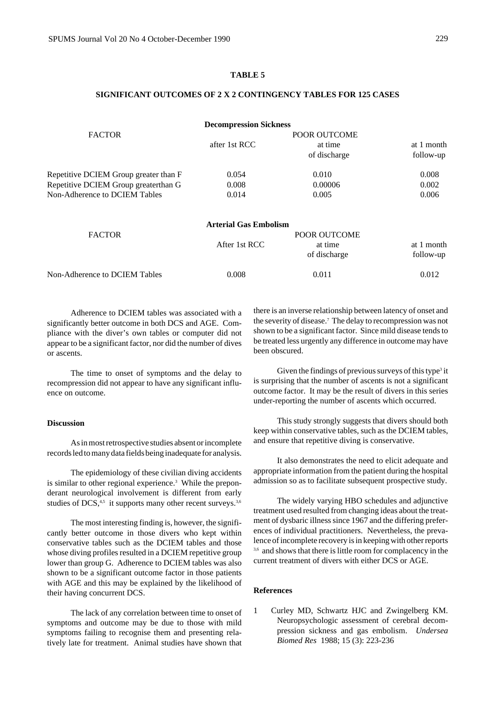### **TABLE 5**

# **SIGNIFICANT OUTCOMES OF 2 X 2 CONTINGENCY TABLES FOR 125 CASES**

|                                       | <b>Decompression Sickness</b> |              |            |  |  |
|---------------------------------------|-------------------------------|--------------|------------|--|--|
| <b>FACTOR</b>                         | POOR OUTCOME                  |              |            |  |  |
|                                       | after 1st RCC                 | at time      | at 1 month |  |  |
|                                       |                               | of discharge | follow-up  |  |  |
| Repetitive DCIEM Group greater than F | 0.054                         | 0.010        | 0.008      |  |  |
| Repetitive DCIEM Group greaterthan G  | 0.008                         | 0.00006      | 0.002      |  |  |
| Non-Adherence to DCIEM Tables         | 0.014                         | 0.005        | 0.006      |  |  |
|                                       | <b>Arterial Gas Embolism</b>  |              |            |  |  |
| <b>FACTOR</b>                         |                               | POOR OUTCOME |            |  |  |
|                                       | After 1st RCC                 | at time      | at 1 month |  |  |
|                                       |                               | of discharge | follow-up  |  |  |
| Non-Adherence to DCIEM Tables         | 0.008                         | 0.011        | 0.012      |  |  |

Adherence to DCIEM tables was associated with a significantly better outcome in both DCS and AGE. Compliance with the diver's own tables or computer did not appear to be a significant factor, nor did the number of dives or ascents.

The time to onset of symptoms and the delay to recompression did not appear to have any significant influence on outcome.

### **Discussion**

As in most retrospective studies absent or incomplete records led to many data fields being inadequate for analysis.

The epidemiology of these civilian diving accidents is similar to other regional experience.<sup>3</sup> While the preponderant neurological involvement is different from early studies of DCS,<sup>4,5</sup> it supports many other recent surveys.<sup>3,6</sup>

The most interesting finding is, however, the significantly better outcome in those divers who kept within conservative tables such as the DCIEM tables and those whose diving profiles resulted in a DCIEM repetitive group lower than group G. Adherence to DCIEM tables was also shown to be a significant outcome factor in those patients with AGE and this may be explained by the likelihood of their having concurrent DCS.

The lack of any correlation between time to onset of symptoms and outcome may be due to those with mild symptoms failing to recognise them and presenting relatively late for treatment. Animal studies have shown that

there is an inverse relationship between latency of onset and the severity of disease.7 The delay to recompression was not shown to be a significant factor. Since mild disease tends to be treated less urgently any difference in outcome may have been obscured.

Given the findings of previous surveys of this type<sup>3</sup> it is surprising that the number of ascents is not a significant outcome factor. It may be the result of divers in this series under-reporting the number of ascents which occurred.

This study strongly suggests that divers should both keep within conservative tables, such as the DCIEM tables, and ensure that repetitive diving is conservative.

It also demonstrates the need to elicit adequate and appropriate information from the patient during the hospital admission so as to facilitate subsequent prospective study.

The widely varying HBO schedules and adjunctive treatment used resulted from changing ideas about the treatment of dysbaric illness since 1967 and the differing preferences of individual practitioners. Nevertheless, the prevalence of incomplete recovery is in keeping with other reports <sup>3,6</sup> and shows that there is little room for complacency in the current treatment of divers with either DCS or AGE.

### **References**

1 Curley MD, Schwartz HJC and Zwingelberg KM. Neuropsychologic assessment of cerebral decompression sickness and gas embolism. *Undersea Biomed Res* 1988; 15 (3): 223-236